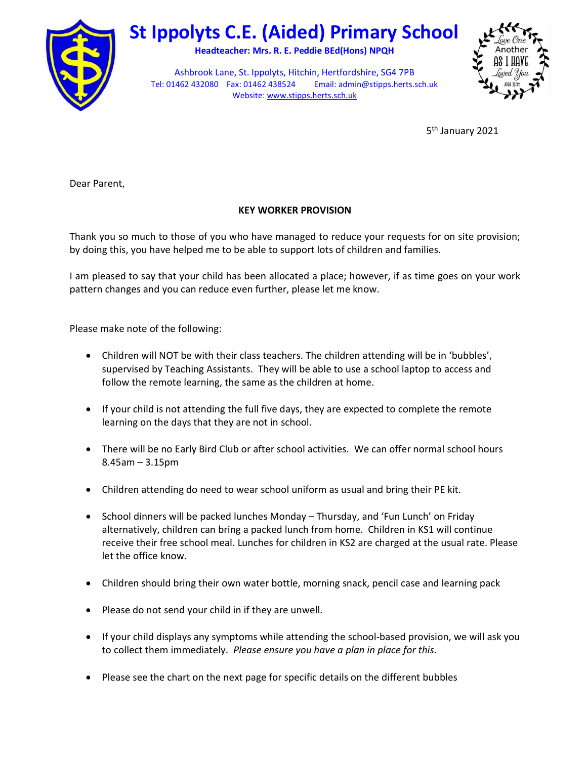

## St Ippolyts C.E. (Aided) Primary School

Headteacher: Mrs. R. E. Peddie BEd(Hons) NPQH

Ashbrook Lane, St. Ippolyts, Hitchin, Hertfordshire, SG4 7PB Tel: 01462 432080 Fax: 01462 438524 Email: admin@stipps.herts.sch.uk Website: www.stipps.herts.sch.uk



5<sup>th</sup> January 2021

Dear Parent,

## KEY WORKER PROVISION

Thank you so much to those of you who have managed to reduce your requests for on site provision; by doing this, you have helped me to be able to support lots of children and families.

I am pleased to say that your child has been allocated a place; however, if as time goes on your work pattern changes and you can reduce even further, please let me know.

Please make note of the following:

- Children will NOT be with their class teachers. The children attending will be in 'bubbles', supervised by Teaching Assistants. They will be able to use a school laptop to access and follow the remote learning, the same as the children at home.
- If your child is not attending the full five days, they are expected to complete the remote learning on the days that they are not in school.
- There will be no Early Bird Club or after school activities. We can offer normal school hours 8.45am – 3.15pm
- Children attending do need to wear school uniform as usual and bring their PE kit.
- School dinners will be packed lunches Monday Thursday, and 'Fun Lunch' on Friday alternatively, children can bring a packed lunch from home. Children in KS1 will continue receive their free school meal. Lunches for children in KS2 are charged at the usual rate. Please let the office know.
- Children should bring their own water bottle, morning snack, pencil case and learning pack
- Please do not send your child in if they are unwell.
- If your child displays any symptoms while attending the school-based provision, we will ask you to collect them immediately. Please ensure you have a plan in place for this.
- Please see the chart on the next page for specific details on the different bubbles